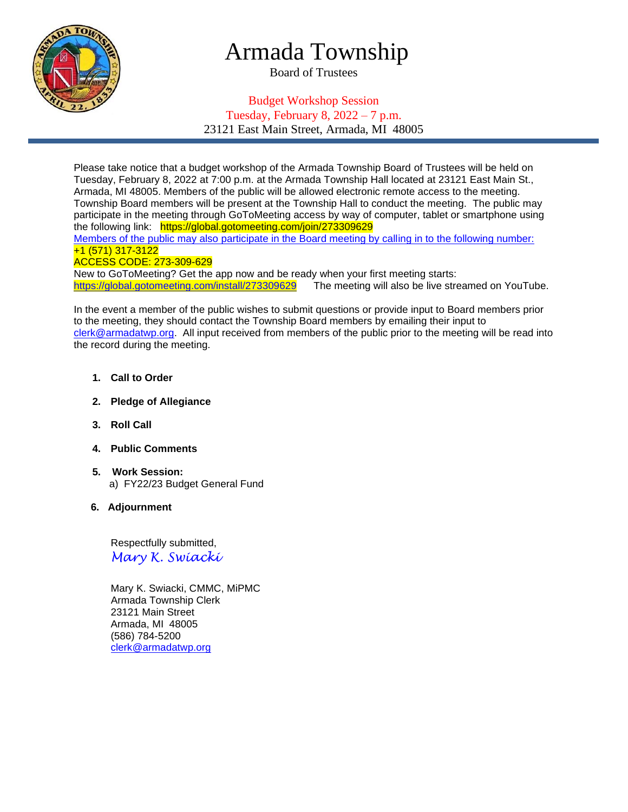

# Armada Township

Board of Trustees

## Budget Workshop Session Tuesday, February 8,  $2022 - 7$  p.m. 23121 East Main Street, Armada, MI 48005

Please take notice that a budget workshop of the Armada Township Board of Trustees will be held on Tuesday, February 8, 2022 at 7:00 p.m. at the Armada Township Hall located at 23121 East Main St., Armada, MI 48005. Members of the public will be allowed electronic remote access to the meeting. Township Board members will be present at the Township Hall to conduct the meeting. The public may participate in the meeting through GoToMeeting access by way of computer, tablet or smartphone using the following link: https://global.gotomeeting.com/join/273309629

Members of the public may also participate in the Board meeting by calling in to the following number: +1 (571) 317-3122

#### ACCESS CODE: 273-309-629

New to GoToMeeting? Get the app now and be ready when your first meeting starts: <https://global.gotomeeting.com/install/273309629>The meeting will also be live streamed on YouTube.

In the event a member of the public wishes to submit questions or provide input to Board members prior to the meeting, they should contact the Township Board members by emailing their input to [clerk@armadatwp.org.](mailto:clerk@armadatwp.org) All input received from members of the public prior to the meeting will be read into the record during the meeting.

- **1. Call to Order**
- **2. Pledge of Allegiance**
- **3. Roll Call**
- **4. Public Comments**
- **5. Work Session:**  a) FY22/23 Budget General Fund
- **6. Adjournment**

 Respectfully submitted, *Mary K. Swiacki*

 Mary K. Swiacki, CMMC, MiPMC Armada Township Clerk 23121 Main Street Armada, MI 48005 (586) 784-5200 [clerk@armadatwp.org](mailto:clerk@armadatwp.org)